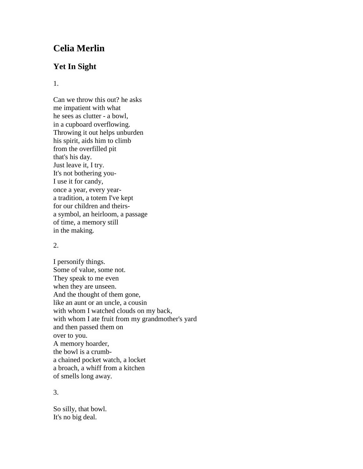# **Celia Merlin**

# **Yet In Sight**

#### 1.

Can we throw this out? he asks me impatient with what he sees as clutter - a bowl, in a cupboard overflowing. Throwing it out helps unburden his spirit, aids him to climb from the overfilled pit that's his day. Just leave it, I try. It's not bothering you-I use it for candy, once a year, every yeara tradition, a totem I've kept for our children and theirsa symbol, an heirloom, a passage of time, a memory still in the making.

## 2.

I personify things. Some of value, some not. They speak to me even when they are unseen. And the thought of them gone, like an aunt or an uncle, a cousin with whom I watched clouds on my back, with whom I ate fruit from my grandmother's yard and then passed them on over to you. A memory hoarder, the bowl is a crumba chained pocket watch, a locket a broach, a whiff from a kitchen of smells long away.

## 3.

So silly, that bowl. It's no big deal.